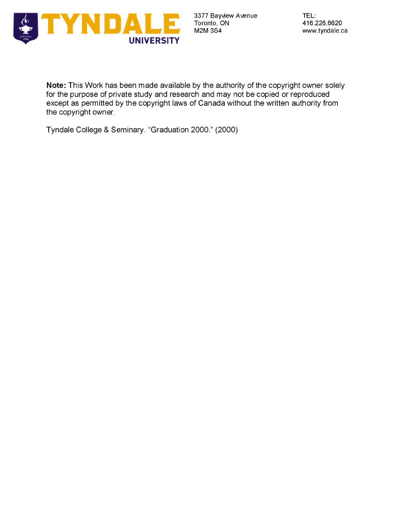

**Note:** This Work has been made available by the authority of the copyright owner solely for the purpose of private study and research and may not be copied or reproduced except as permitted by the copyright laws of Canada without the written authority from the copyright owner.

Tyndale College & Seminary. "Graduation 2000." (2000)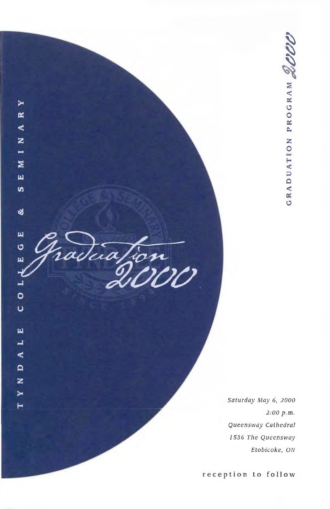

 $\blacktriangleright$  $\approx$  $\triangleleft$  $\overline{z}$  $\blacksquare$ Σ 国  $\boldsymbol{\omega}$ 

ಳ

щ

O  $\mathbf{\mu}$ 

 $0<sub>L</sub>$ 

 $\cup$ 

 $\mathbf{\underline{u}}$  $\blacksquare$ ∢  $\mathbf{a}$ z  $\blacktriangleright$  $\blacksquare$ 

**2000**

*Saturday May 6, 2000 2:00 p.m. Queensway Cathedral 1536 The Queensway Etobicoke, ON*

**reception to follow**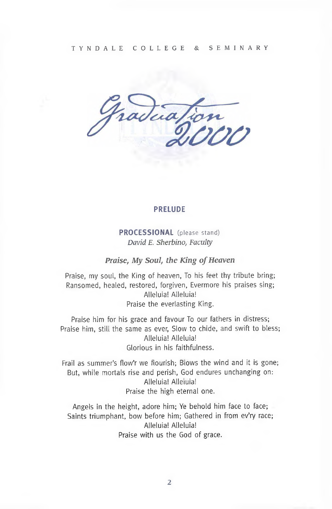

#### **PRELUDE**

**PROCESSIONAL** (please stand) *David E. Sherbino, Faculty*

*Praise, My Soul, the King ofHeaven*

Praise, my soul, the King of heaven, To his feet thy tribute bring; Ransomed, healed, restored, forgiven, Evermore his praises sing; Alleluia! Alleluia! Praise the everlasting King.

Praise him for his grace and favour To our fathers in distress; Praise him, still the same as ever, Slow to chide, and swift to bless; Alleluia! Alleluia! Glorious in his faithfulness.

Frail as summer's flow'r we flourish; Blows the wind and it is gone; But, while mortals rise and perish, God endures unchanging on: Alleluia! Alleluia! Praise the high eternal one.

Angels in the height, adore him; Ye behold him face to face; Saints triumphant, bow before him; Gathered in from ev'ry race; Alleluia! Alleluia! Praise with us the God of grace.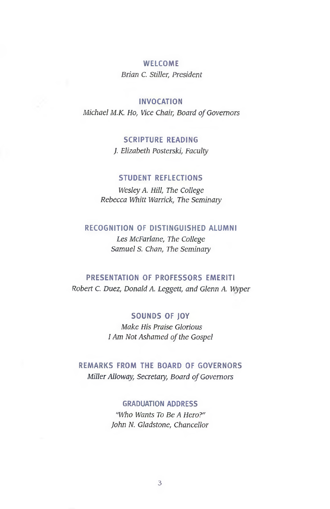#### **WELCOME**

*Brian C. Stiller, President*

## **INVOCATION**

*Michael M.K. Ho, Vice Chair, Board ofGovernors*

## **SCRIPTURE READING**

J *Elizabeth Posterski, Faculty*

## **STUDENT REFLECTIONS**

*Wesley A. Hill, The College Rebecca Whitt Warrick, The Seminary*

## **RECOGNITION OF DISTINGUISHED ALUMNI**

*Les McFarlane, The College Samuel S. Chan, The Seminary*

## **PRESENTATION OF PROFESSORS EMERITI**

*Robert C. Duez, Donald*A *Leggett, and Glenn A. Wyper*

## **SOUNDS OF JOY**

*Make His Praise Glorious i Am Not Ashamed ofthe Gospel*

# **REMARKS FROM THE BOARD OF GOVERNORS** *Miller Alloway, Secretary, Board ofGovernors*

## **GRADUATION ADDRESS**

*"Who Wants To Be A Hero?" John N. Gladstone, Chancellor*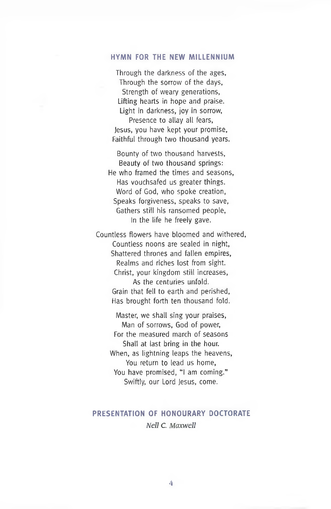#### **HYMN FOR THE NEW MILLENNIUM**

Through the darkness of the ages, Through the sorrow of the days, Strength of weary generations, Lifting hearts in hope and praise. Light in darkness, joy in sorrow, Presence to allay all fears, Jesus, you have kept your promise, Faithful through two thousand years.

Bounty of two thousand harvests, Beauty of two thousand springs: He who framed the times and seasons, Has vouchsafed us greater things. Word of God, who spoke creation, Speaks forgiveness, speaks to save, Gathers still his ransomed people, In the life he freely gave.

Countless flowers have bloomed and withered, Countless noons are sealed in night, Shattered thrones and fallen empires, Realms and riches lost from sight. Christ, your kingdom still increases, As the centuries unfold. Grain that fell to earth and perished, Has brought forth ten thousand fold.

Master, we shall sing your praises, Man of sorrows, God of power, For the measured march of seasons Shall at last bring in the hour. When, as lightning leaps the heavens, You return to lead us home, You have promised, "I am coming." Swiftly, our Lord Jesus, come.

# **PRESENTATION OF HONOURARY DOCTORATE** *Nell C. Maxwell*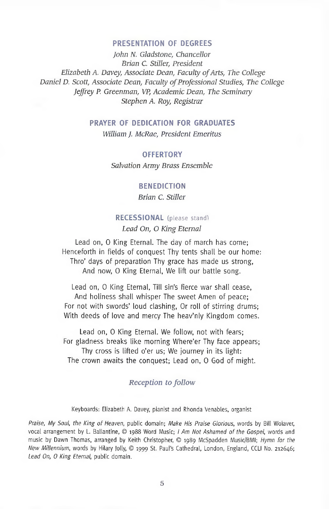#### **PRESENTATION OF DEGREES**

*John N. Gladstone, Chancellor Brian C. Stiller, President Elizabeth A. Davey, Associate Dean, Faculty ofArts, The College Daniel D. Scott, Associate Dean, Faculty of Professional Studies, The College Jeffrey P. Greenman, VP, Academic Dean, The Seminary Stephen A. Roy, Registrar*

#### **PRAYER OF DEDICATION FOR GRADUATES**

*William J. McRae, President Emeritus*

**OFFERTORY** *Salvation Army Brass Ensemble*

#### **BENEDICTION**

*Brian C. Stiller*

## **RECESSIONAL** (please stand)

*Lead On, O King Eternal*

Lead on, 0 King Eternal. The day of march has come; Henceforth in fields of conquest Thy tents shall be our home: Thro' days of preparation Thy grace has made us strong, And now, 0 King Eternal, We lift our battle song.

Lead on, 0 King Eternal, Till sin's Fierce war shall cease, And holiness shall whisper The sweet Amen of peace; For not with swords' loud clashing, Or roll of stirring drums; With deeds of love and mercy The heav'nly Kingdom comes.

Lead on, 0 King Eternal. We follow, not with fears; For gladness breaks like morning Where'er Thy face appears; Thy cross is lifted <sup>o</sup>'er us; We journey in its light: The crown awaits the conquest; Lead on, 0 God of might.

#### *Reception tofollow*

Keyboards: Elizabeth A. Davey, pianist and Rhonda Venables, organist

*Praise, My Soul, the King of Heaven,* public domain; *Make His Praise Glorious,* words by Bill Wolaver, vocal arrangement by L. Ballantine, © 1988 Word Music; *<sup>I</sup> Am Not Ashamed of the Gospel,* words and music by Dawn Thomas, arranged by Keith Christopher, © 1989 McSpadden Music/BMI; *Hymn for the New Millennium,* words by Hilary Jolly, © 1999 St. Paul's Cathedral, London, England, CCLI No. 212646; *Lead On, O King Eternal,* public domain.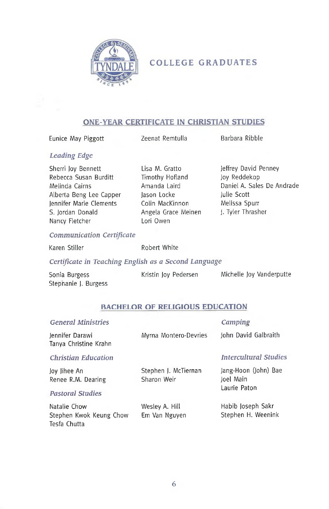

# **COLLEGE GRADUATES**

## **ONE-YEAR CERTIFICATE IN CHRISTIAN STUDIES**

Eunice May Piggott **Zeenat Remtulla** Barbara Ribble

## *Leading Edge*

Sherri Joy Bennett Rebecca Susan Burditt Melinda Cairns Alberta Beng Lee Capper Jennifer Marie Clements S. Jordan Donald Nancy Fletcher

Lisa M. Gratto Timothy Hofland Amanda Laird Jason Locke Colin MacKinnon Angela Grace Meinen Lori Owen

Jeffrey David Penney Joy Reddekop Daniel A. Sales De Andrade Julie Scott Melissa Spurr J. Tyler Thrasher

#### *Communication Certificate*

Tesfa Chutta

Karen Stiller **Robert White** 

#### *Certificate in Teaching English as a Second Language*

| Sonia Burgess        | Kristin Joy Pedersen | Michelle Joy Vanderputte |
|----------------------|----------------------|--------------------------|
| Stephanie J. Burgess |                      |                          |

## **BACHELOR OF RELIGIOUS EDUCATION**

| <b>General Ministries</b>                                     |                                     | Camping                                           |
|---------------------------------------------------------------|-------------------------------------|---------------------------------------------------|
| Jennifer Darawi<br>Tanya Christine Krahn                      | Myrna Montero-Devries               | John David Galbraith                              |
| <b>Christian Education</b>                                    |                                     | <b>Intercultural Studies</b>                      |
| Joy Jihee An<br>Renee R.M. Dearing<br><b>Pastoral Studies</b> | Stephen J. McTiernan<br>Sharon Weir | Jang-Hoon (John) Bae<br>Joel Main<br>Laurie Paton |
| Natalie Chow<br>Stephen Kwok Keung Chow                       | Wesley A. Hill<br>Em Van Nguyen     | Habib Joseph Sakr<br>Stephen H. Weenink           |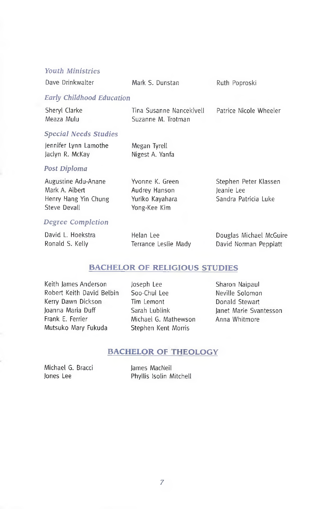## *Youth Ministries*

| Dave Drinkwalter                                                              | Mark S. Dunstan                                                     | Ruth Poproski                                               |
|-------------------------------------------------------------------------------|---------------------------------------------------------------------|-------------------------------------------------------------|
| <b>Early Childhood Education</b>                                              |                                                                     |                                                             |
| Sheryl Clarke<br>Meaza Mulu                                                   | Tina Susanne Nancekivell<br>Suzanne M. Trotman                      | Patrice Nicole Wheeler                                      |
| <b>Special Needs Studies</b>                                                  |                                                                     |                                                             |
| Jennifer Lynn Lamothe<br>Jaclyn R. McKay                                      | Megan Tyrell<br>Nigest A. Yanfa                                     |                                                             |
| Post Diploma                                                                  |                                                                     |                                                             |
| Augustine Adu-Anane<br>Mark A. Albert<br>Henry Hang Yin Chung<br>Steve Devall | Yvonne K. Green<br>Audrey Hanson<br>Yuriko Kayahara<br>Yong-Kee Kim | Stephen Peter Klassen<br>leanie Lee<br>Sandra Patricia Luke |
| <b>Degree Completion</b>                                                      |                                                                     |                                                             |

| David L. Hoekstra | Helan Lee            | Douglas Michael McGuire |
|-------------------|----------------------|-------------------------|
| Ronald S. Kelly   | Terrance Leslie Mady | David Norman Peppiatt   |

## **BACHELOR OF RELIGIOUS STUDIES**

Keith James Anderson Robert Keith David Belbin Kerry Dawn Dickson Joanna Maria Duff Frank E. Ferrier Mutsuko Mary Fukuda

Joseph Lee Soo-Chul Lee Tim Lemont Sarah Lublink Michael G. Mathewson Stephen Kent Morris

Sharon Naipaul Neville Solomon Donald Stewart Janet Marie Svantesson Anna Whitmore

## **BACHELOR OF THEOLOGY**

Michael G. Bracci Jones Lee

James MacNeil Phyllis Isolin Mitchell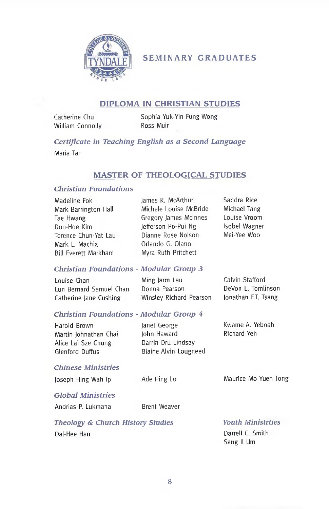

# **SEMINARY GRADUATES**

## **DIPLOMA IN CHRISTIAN STUDIES**

Catherine Chu William Connolly Sophia Yuk-Yin Fung-Wong Ross Muir

*Certificate in Teaching English as a Second Language*

Maria Tan

## **MASTER OF THEOLOGICAL STUDIES**

## *Christian Foundations*

| Madeline Fok<br>Mark Barrington Hall<br>Tae Hwang<br>Doo-Hoe Kim<br>Terence Chun-Yat Lau<br>Mark L. Machia<br><b>Bill Everett Markham</b> | James R. McArthur<br>Michele Louise McBride<br>Gregory James McInnes<br>Jefferson Po-Pui Ng<br>Dianne Rose Nolson<br>Orlando G. Olano<br>Myra Ruth Pritchett | Sandra Rice<br>Michael Tang<br>Louise Vroom<br>Isobel Wagner<br>Mei-Yee Woo  |
|-------------------------------------------------------------------------------------------------------------------------------------------|--------------------------------------------------------------------------------------------------------------------------------------------------------------|------------------------------------------------------------------------------|
| <b>Christian Foundations - Modular Group 3</b>                                                                                            |                                                                                                                                                              |                                                                              |
| Louise Chan<br>Lun Bernard Samuel Chan<br>Catherine Jane Cushing                                                                          | Ming Jarm Lau<br>Donna Pearson<br>Winsley Richard Pearson                                                                                                    | Calvin Stafford<br>DeVon L. Tomlinson<br>Jonathan F.T. Tsang                 |
| Christian Foundations - Modular Group 4                                                                                                   |                                                                                                                                                              |                                                                              |
| Harold Brown<br>Martin Johnathan Chai<br>Alice Lai Sze Chung<br>Glenford Duffus                                                           | lanet George<br>John Haward<br>Darrin Dru Lindsay<br>Blaine Alvin Lougheed                                                                                   | Kwame A. Yeboah<br>Richard Yeh                                               |
| <b>Chinese Ministries</b>                                                                                                                 |                                                                                                                                                              |                                                                              |
| Joseph Hing Wah Ip                                                                                                                        | Ade Ping Lo                                                                                                                                                  | Maurice Mo Yuen Tong                                                         |
| <b>Global Ministries</b>                                                                                                                  |                                                                                                                                                              |                                                                              |
| Andrias P. Lukmana                                                                                                                        | <b>Brent Weaver</b>                                                                                                                                          |                                                                              |
| Theology & Church History Studies                                                                                                         |                                                                                                                                                              | <b>Youth Ministrties</b><br>$\sim$ $\sim$ $\sim$ $\sim$ $\sim$ $\sim$ $\sim$ |

Dal-Hee Han

Darrell C. Smith Sang II Um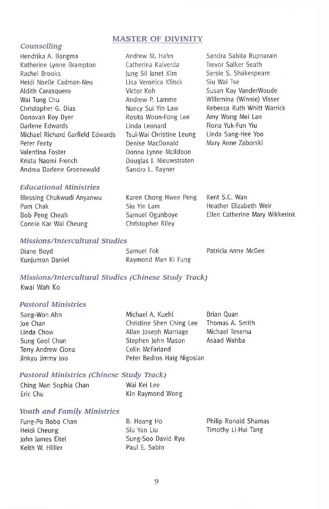## **MASTER OF DIVINITY**

#### *Counselling*

- Hendrika A. Bangma Katherine Lynne Brampton Rachel Brooks Heidi Noelle Cadman-Neu Aldith Carasquero Wai Tung Chu Christopher G. Dias Donovan Roy Dyer Darlene Edwards Michael Richard Garfield Edwards Peter Fenty Valentina Foster Krista Naomi French Andrea Darlene Groenewald
- Andrew M. Hahn Catherina Kalverda Jung Sil Janet Kim Lisa Veronica Klinck Victor Koh Andrew P. Lamme Nancy Sui Yin Law Rosita Woon-Fong Lee Linda Leonard Tsui-Wai Christine Leung Denise MacDonald Donna Lynne Mclldoon Douglas J. Nieuwstraten Sandra L. Rayner

Sandra Sabita Rupnarain Trevor Salker Seath Sersie S. Shakespeare Siu Wai Tse Susan Kay VanderWoude Willemina (Winnie) Visser Rebecca Ruth Whitt Warrick Amy Wong Mei Lan Fiona Yuk-Fun Yiu Linda Sang-Hee Yoo Mary Anne Zaborski

## *Educational Ministries*

Blessing Chukwudi Anyanwu Pam Chak Bob Peng Cheah Connie Kar Wai Cheung

Karen Chong Hwee Peng Siu Yin Lam Samuel Ogunboye Christopher Riley

Kent S.C. Wan Heather Elizabeth Weir Ellen Catherine Mary Wikkerink

#### *Missions/Intercultural Studies*

| Diane Boyd      | Samuel Fok          | Patricia Anne McGee |
|-----------------|---------------------|---------------------|
| Kunjumon Daniel | Raymond Man Ki Fung |                     |

## *Missions/Intercultural Studies (Chinese Study Track)*

Kwai Wah Ko

### *Pastoral Ministries*

| Sang-Won Ahn       | Michael A. Kuehl           | Brian Ouan      |
|--------------------|----------------------------|-----------------|
| loe Chan           | Christine Shen Ching Lee   | Thomas A. Smith |
| Linda Chow         | Allan Joseph Marriage      | Michael Tesema  |
| Sung Geol Chun     | Stephen John Mason         | Asaad Wahba     |
| Terry Andrew Ciona | Colin McFarland            |                 |
| linkyu limmy Joo   | Peter Bedros Haig Nigosian |                 |

#### *Pastoral Ministries (Chinese Study Track)*

| Ching Man Sophia Chan | Wai Kei Lee      |
|-----------------------|------------------|
| Eric Chu              | Kin Raymond Wong |

#### *Youth and Family Ministries*

| Fung-Po Bobo Chan | B. Hoang Ho        | Philip Ronald Shamas |
|-------------------|--------------------|----------------------|
| Heidi Cheung      | Siu Yan Liu        | Timothy Li-Hui Tang  |
| John James Eitel  | Sung-Soo David Ryu |                      |
| Keith W. Hillier  | Paul E. Sabin      |                      |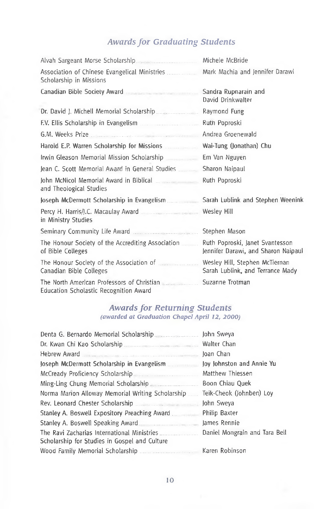# *Awardsfor Graduating Students*

| Alvah Sargeant Morse Scholarship                                                       | Michele McBride                                                        |
|----------------------------------------------------------------------------------------|------------------------------------------------------------------------|
| Association of Chinese Evangelical Ministries<br>Scholarship in Missions               | Mark Machia and Jennifer Darawi                                        |
| Canadian Bible Society Award (11) Production Canadian Bible                            | Sandra Rupnarain and<br>David Drinkwalter                              |
|                                                                                        | Raymond Fung                                                           |
| F.V. Ellis Scholarship in Evangelism                                                   | Ruth Poproski                                                          |
|                                                                                        | Andrea Groenewald                                                      |
|                                                                                        | Wai-Tung (Jonathan) Chu                                                |
| Irwin Gleason Memorial Mission Scholarship                                             | Em Van Nguyen                                                          |
| lean C. Scott Memorial Award in General Studies                                        | Sharon Naipaul                                                         |
| and Theological Studies                                                                | Ruth Poproski                                                          |
| Joseph McDermott Scholarship in Evangelism                                             | Sarah Lublink and Stephen Weenink                                      |
| Percy H. Harris/J.C. Macaulay Award Machines and Mesley Hill<br>in Ministry Studies    |                                                                        |
| Seminary Community Life Award                                                          | Stephen Mason                                                          |
| The Honour Society of the Accrediting Association<br>of Bible Colleges                 | Ruth Poproski, Janet Svantesson<br>Jennifer Darawi, and Sharon Naipaul |
| The Honour Society of the Association of <b>Figure 2012</b><br>Canadian Bible Colleges | Wesley Hill, Stephen McTiernan<br>Sarah Lublink, and Terrance Mady     |
| The North American Professors of Christian<br>Education Scholastic Recognition Award   | Suzanne Trotman                                                        |

## *Awards for Returning Students (awarded at Graduation Chapel April 12, 2000)*

|                                                                                              | John Sweya                    |
|----------------------------------------------------------------------------------------------|-------------------------------|
| Dr. Kwan Chi Kao Scholarship                                                                 | Walter Chan                   |
| Hebrew Award                                                                                 | Joan Chan                     |
| Joseph McDermott Scholarship in Evangelism                                                   | Joy Johnston and Annie Yu     |
| McCready Proficiency Scholarship                                                             | Matthew Thiessen              |
| Ming-Ling Chung Memorial Scholarship                                                         | Boon Chiau Quek               |
| Norma Marion Alloway Memorial Writing Scholarship                                            | Teik-Cheok (Johnben) Loy      |
|                                                                                              | John Sweya                    |
| Stanley A. Boswell Expository Preaching Award                                                | Philip Baxter                 |
| Stanley A. Boswell Speaking Award                                                            | James Rennie                  |
| The Ravi Zacharias International Ministries<br>Scholarship for Studies in Gospel and Culture | Daniel Mongrain and Tara Bell |
| Wood Family Memorial Scholarship <b>Engineer Scholarship Ramade Roman</b> Karen Robinson     |                               |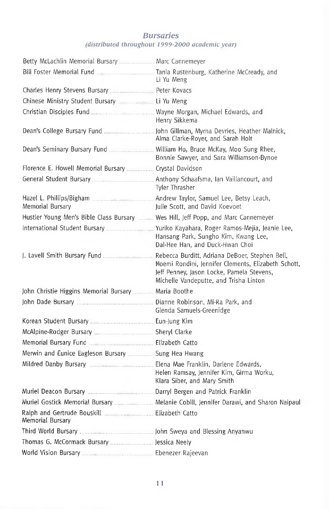## *Bursaries (distributed throughout 1999-2000 academic year)*

| Betty McLachlin Memorial Bursary  Marc Cannemeyer                                 |                                                                                                                                            |
|-----------------------------------------------------------------------------------|--------------------------------------------------------------------------------------------------------------------------------------------|
| Bill Foster Memorial Fund [100] [2010] Tania Rustenburg, Katherine McCready, and  | Li Yu Meng                                                                                                                                 |
| Charles Henry Stevens Bursary   Peter Kovacs                                      |                                                                                                                                            |
| Chinese Ministry Student Bursary <b>Manual Act 2018</b> Li Yu Meng                |                                                                                                                                            |
|                                                                                   | Henry Sikkema                                                                                                                              |
|                                                                                   | Alma Clarke-Royer, and Sarah Holt                                                                                                          |
|                                                                                   | Bonnie Sawyer, and Sara Williamson-Bynoe                                                                                                   |
| Florence E. Howell Memorial Bursary  Crystal Davidson                             |                                                                                                                                            |
|                                                                                   | Tyler Thrasher                                                                                                                             |
| Memorial Bursary                                                                  | Julie Scott, and David Koevoet                                                                                                             |
| Hustler Young Men's Bible Class Bursary  Wes Hill, Jeff Popp, and Marc Cannemeyer |                                                                                                                                            |
|                                                                                   | Hansang Park, Sungho Kim, Kwang Lee,<br>Dal-Hee Han, and Duck-Hwan Choi                                                                    |
|                                                                                   | Noemi Rondini, Jennifer Clements, Elizabeth Schott,<br>Jeff Penney, Jason Locke, Pamela Stevens,<br>Michelle Vandeputte, and Trisha Linton |
| John Christie Higgins Memorial Bursary  Maria Boothe                              |                                                                                                                                            |
|                                                                                   | Glenda Samuels-Greenidge                                                                                                                   |
| Korean Student Bursary <b>Committee Controller Controllery</b> Kim                |                                                                                                                                            |
| McAlpine-Rodger Bursary Manuel Sheryl Clarke                                      |                                                                                                                                            |
|                                                                                   |                                                                                                                                            |
| Merwin and Eunice Eagleson Bursary  Sung Hea Hwang                                |                                                                                                                                            |
|                                                                                   | Helen Ramsay, Jennifer Kim, Girma Worku,<br>Klara Siber, and Mary Smith                                                                    |
|                                                                                   |                                                                                                                                            |
|                                                                                   | Muriel Gostick Memorial Bursary   Melanie Cobill, Jennifer Darawi, and Sharon Naipaul                                                      |
| Memorial Bursary                                                                  |                                                                                                                                            |
|                                                                                   |                                                                                                                                            |
| Thomas G. McCormack Bursary  Jessica Neely                                        |                                                                                                                                            |
|                                                                                   |                                                                                                                                            |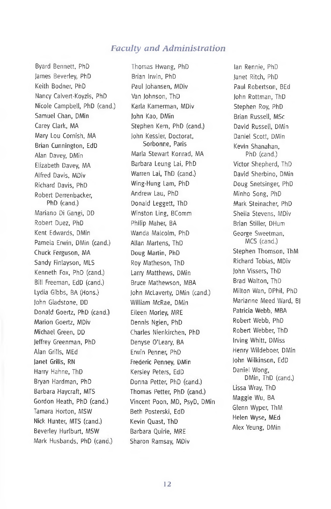## *Faculty and Administration*

Byard Bennett, PhD James Beverley, PhD Keith Bodner, PhD Nancy Calvert-Koyzis, PhD Nicole Campbell, PhD (cand.) Samuel Chan, DMin Carey Clark, MA Mary Lou Cornish, MA Brian Cunnington, EdD Alan Davey, DMin Elizabeth Davey, MA Alfred Davis, MDiv Richard Davis, PhD Robert Derrenbacker, PhD (cand.) Mariano Di Gangi, DD Robert Duez, PhD Kent Edwards, DMin Pamela Erwin, DMin (cand.) Chuck Ferguson, MA Sandy Finlayson, MLS Kenneth Fox, PhD (cand.) Bill Freeman, EdD (cand.) Lydia Gibbs, BA (Hons.) John Gladstone, DD Donald Goertz, PhD (cand.) Marion Goertz, MDiv Michael Green, DD Jeffrey Greenman, PhD Alan Grills, MEd Janet Grills, RN Harry Hahne, ThD Bryan Hardman, PhD Barbara Haycraft, MTS Gordon Heath, PhD (cand.) Tamara Horton, MSW Nick Hunter, MTS (cand.) Beverley Hurlburt, MSW Mark Husbands, PhD (cand.)

Thomas Hwang, PhD Brian Irwin, PhD Paul Johansen, MDiv Van Johnson, ThD Karla Kamerman, MDiv John Kao, DMin Stephen Kern, PhD (cand.) John Kessler, Doctorat, Sorbonne, Paris Marla Stewart Konrad, MA Barbara Leung Lai, PhD Warren Lai, ThD (cand.) Wing-Hung Lam, PhD Andrew Lau, PhD Donald Leggett, ThD Winston Ling, BComm Philip Maher, BA Wanda Malcolm, PhD Allan Martens, ThD Doug Martin, PhD Roy Matheson, ThD Larry Matthews, DMin Bruce Mathewson, MBA John McLaverty, DMin (cand.) William McRae, DMin Eileen Morley, MRE Dennis Ngien, PhD Charles Nienkirchen, PhD Denyse <sup>O</sup>'Leary, BA Erwin Penner, PhD Frederic Penney, DMin Kersley Peters, EdD Donna Petter, PhD (cand.) Thomas Petter, PhD (cand.) Vincent Poon, MD, PsyD, DMin Beth Posterski, EdD Kevin Quast, ThD Barbara Quirie, MRE Sharon Ramsay, MDiv

Ian Rennie, PhD Janet Ritch, PhD Paul Robertson, BEd John Rottman, ThD Stephen Roy, PhD Brian Russell, MSc David Russell, DMin Daniel Scott, DMin Kevin Shanahan, PhD (cand.) Victor Shepherd, ThD David Sherbino, DMin Doug Snetsinger, PhD Minho Song, PhD Mark Steinacher, PhD Sheila Stevens, MDiv Brian Stiller, DHum George Sweetman, MCS (cand.) Stephen Thomson, ThM Richard Tobias, MDiv John Vissers, ThD Brad Walton, ThD Milton Wan, DPhil, PhD Marianne Meed Ward, BJ Patricia Webb, MBA Robert Webb, PhD Robert Webber, ThD Irving Whitt, DMiss Henry Wildeboer, DMin John Wilkinson, EdD Daniel Wong, DMin, ThD (cand.) Lissa Wray, ThD Maggie Wu, BA Glenn Wyper, ThM Helen Wyse, MEd Alex Yeung, DMin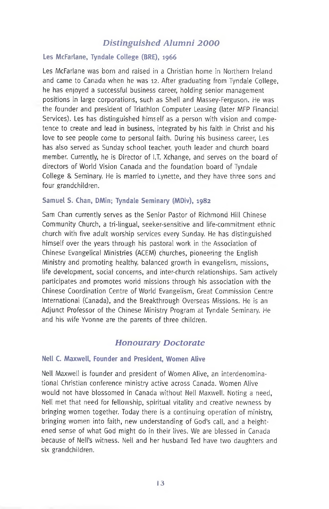## *Distinguished Alumni 2000*

## **Les McFarlane, Tyndale College (BRE), 1966**

Les McFarlane was born and raised in a Christian home in Northern Ireland and came to Canada when he was 12. After graduating from Tyndale College, he has enjoyed a successful business career, holding senior management positions in large corporations, such as Shell and Massey-Ferguson. He was the founder and president of Triathlon Computer Leasing (later MFP Financial Services). Les has distinguished himself as a person with vision and competence to create and lead in business, integrated by his faith in Christ and his love to see people come to personal faith. During his business career, Les has also served as Sunday school teacher youth leader and church board member. Currently, he is Director of I.T. Xchange, and serves on the board of directors of World Vision Canada and the foundation board of Tyndale College & Seminary. He is married to Lynette, and they have three sons and four grandchildren.

#### **Samuel S. Chan, DMin; Tyndale Seminary (MDiv), 1982**

Sam Chan currently serves as the Senior Pastor of Richmond Hill Chinese Community Church, a tri-lingual, seeker-sensitive and life-commitment ethnic church with five adult worship services every Sunday. He has distinguished himself over the years through his pastoral work in the Association of Chinese Evangelical Ministries (ACEM) churches, pioneering the English Ministry and promoting healthy, balanced growth in evangelism, missions, life development, social concerns, and inter-church relationships. Sam actively participates and promotes world missions through his association with the Chinese Coordination Centre of World Evangelism, Great Commission Centre International (Canada), and the Breakthrough Overseas Missions. He is an Adjunct Professor of the Chinese Ministry Program at Tyndale Seminary. He and his wife Yvonne are the parents of three children.

## *Honourary Doctorate*

### **Nell C. Maxwell, Founder and President, Women Alive**

Nell Maxwell is founder and president of Women Alive, an interdenominational Christian conference ministry active across Canada. Women Alive would not have blossomed in Canada without Nell Maxwell. Noting a need, Nell met that need for fellowship, spiritual vitality and creative newness by bringing women together. Today there is a continuing operation of ministry, bringing women into faith, new understanding of God's call, and a heightened sense of what God might do in their lives. We are blessed in Canada because of Nell'<sup>s</sup> witness. Nell and her husband Ted have two daughters and six grandchildren.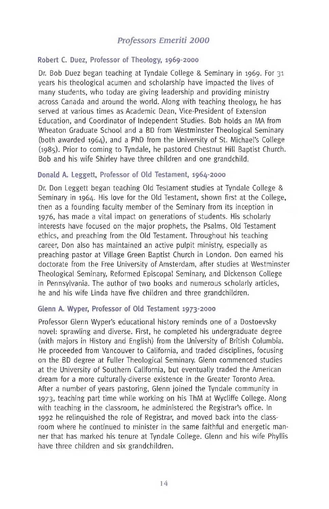# *Professors Emeriti 2000*

## **Robert C. Duez, Professor of Theology, 1969-2000**

Dr. Bob Duez began teaching at Tyndale College & Seminary in 1969. For 31 years his theological acumen and scholarship have impacted the lives of many students, who today are giving leadership and providing ministry across Canada and around the world. Along with teaching theology, he has served at various times as Academic Dean, Vice-President of Extension Education, and Coordinator of Independent Studies. Bob holds an MA from Wheaton Graduate School and a BD from Westminster Theological Seminary (both awarded 1964), and a PhD from the University of St. Michael's College (1985). Prior to coming to Tyndale, he pastored Chestnut Hill Baptist Church. Bob and his wife Shirley have three children and one grandchild.

### **Donald A. Leggett, Professor of Old Testament, 1964-2000**

Dr. Don Leggett began teaching Old Testament studies at Tyndale College & Seminary in 1964. His love for the Old Testament, shown first at the College, then as a founding faculty member of the Seminary from its inception in 1976, has made a vital impact on generations of students. His scholarly interests have focused on the major prophets, the Psalms, Old Testament ethics, and preaching from the Old Testament. Throughout his teaching career, Don also has maintained an active pulpit ministry, especially as preaching pastor at Village Green Baptist Church in London. Don earned his doctorate from the Free University of Amsterdam, after studies at Westminster Theological Seminary, Reformed Episcopal Seminary, and Dickenson College in Pennsylvania. The author of two books and numerous scholarly articles, he and his wife Linda have five children and three grandchildren.

### **Glenn A. Wyper, Professor of Old Testament 1973-2000**

Professor Glenn Wyper's educational history reminds one of a Dostoevsky novel: sprawling and diverse. First, he completed his undergraduate degree (with majors in History and English) from the University of British Columbia. He proceeded from Vancouver to California, and traded disciplines, focusing on the BD degree at Fuller Theological Seminary. Glenn commenced studies at the University of Southern California, but eventually traded the American dream for a more culturally-diverse existence in the Greater Toronto Area. After a number of years pastoring, Glenn joined the Tyndale community in 1973, teaching part time while working on his ThM at Wycliffe College. Along with teaching in the classroom, he administered the Registrar's office. In 1992 he relinquished the role of Registrar, and moved back into the classroom where he continued to minister in the same faithful and energetic manner that has marked his tenure at Tyndale College. Glenn and his wife Phyllis have three children and six grandchildren.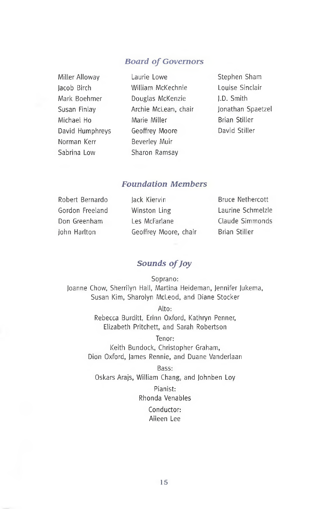## *Board of Governors*

| Miller Alloway  |
|-----------------|
| Jacob Birch     |
| Mark Boehmer    |
| Susan Finlay    |
| Michael Ho      |
| David Humphreys |
| Norman Kerr     |
| Sabrina Low     |

Laurie Lowe William McKechnie Douglas McKenzie Archie McLean, chair Marie Miller Geoffrey Moore Beverley Muir Sharon Ramsay

Stephen Sham Louise Sinclair J.D. Smith Jonathan Spaetzel Brian Stiller David Stiller

# *Foundation Members*

| Robert Bernardo | lack Kiervin          | <b>Bruce Nethercott</b> |
|-----------------|-----------------------|-------------------------|
| Gordon Freeland | Winston Ling          | Laurine Schmelzle       |
| Don Greenham    | Les McFarlane         | Claude Simmonds         |
| John Harlton    | Geoffrey Moore, chair | Brian Stiller           |

# *Sounds ofJoy*

Soprano: Joanne Chow, Sherrilyn Hall, Martina Heideman, Jennifer Jukema, Susan Kim, Sharolyn McLeod, and Diane Stocker

> Alto: Rebecca Burditt, Erinn Oxford, Kathryn Penner, Elizabeth Pritchett, and Sarah Robertson

Tenor: Keith Bundock, Christopher Graham, Dion Oxford, James Rennie, and Duane Vanderlaan

Bass: Oskars Arajs, William Chang, and Johnben Loy

> Pianist: Rhonda Venables

> > Conductor: Aileen Lee